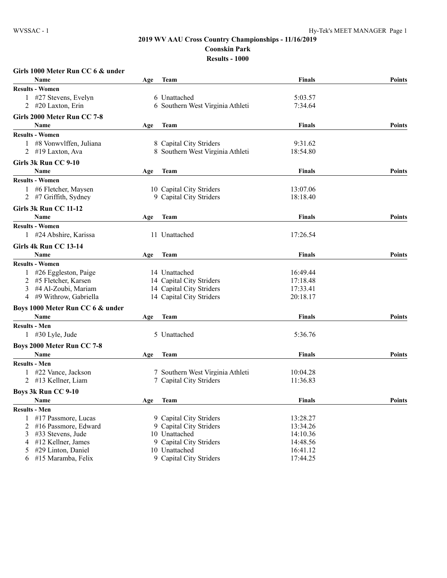## **2019 WV AAU Cross Country Championships - 11/16/2019 Coonskin Park Res**

| <b>Results - 100</b> |  |  |  |  |  |  |  |
|----------------------|--|--|--|--|--|--|--|
|----------------------|--|--|--|--|--|--|--|

|   | Girls 1000 Meter Run CC 6 & under |     |                                  |               |               |
|---|-----------------------------------|-----|----------------------------------|---------------|---------------|
|   | <b>Name</b>                       | Age | <b>Team</b>                      | Finals        | <b>Points</b> |
|   | <b>Results - Women</b>            |     |                                  |               |               |
|   | 1 #27 Stevens, Evelyn             |     | 6 Unattached                     | 5:03.57       |               |
|   | 2 #20 Laxton, Erin                |     | 6 Southern West Virginia Athleti | 7:34.64       |               |
|   | Girls 2000 Meter Run CC 7-8       |     |                                  |               |               |
|   | Name                              | Age | Team                             | <b>Finals</b> | <b>Points</b> |
|   | <b>Results - Women</b>            |     |                                  |               |               |
|   | 1 #8 Vonwylffen, Juliana          |     | 8 Capital City Striders          | 9:31.62       |               |
|   | 2 #19 Laxton, Ava                 |     | 8 Southern West Virginia Athleti | 18:54.80      |               |
|   | Girls 3k Run CC 9-10              |     |                                  |               |               |
|   | <b>Name</b>                       | Age | <b>Team</b>                      | <b>Finals</b> | <b>Points</b> |
|   | <b>Results - Women</b>            |     |                                  |               |               |
|   | 1 #6 Fletcher, Maysen             |     | 10 Capital City Striders         | 13:07.06      |               |
|   | 2 #7 Griffith, Sydney             |     | 9 Capital City Striders          | 18:18.40      |               |
|   | Girls 3k Run CC 11-12             |     |                                  |               |               |
|   | <b>Name</b>                       | Age | <b>Team</b>                      | <b>Finals</b> | <b>Points</b> |
|   | <b>Results - Women</b>            |     |                                  |               |               |
|   | 1 #24 Abshire, Karissa            |     | 11 Unattached                    | 17:26.54      |               |
|   | Girls 4k Run CC 13-14             |     |                                  |               |               |
|   | Name                              | Age | <b>Team</b>                      | <b>Finals</b> | <b>Points</b> |
|   | <b>Results - Women</b>            |     |                                  |               |               |
|   | 1 #26 Eggleston, Paige            |     | 14 Unattached                    | 16:49.44      |               |
| 2 | #5 Fletcher, Karsen               |     | 14 Capital City Striders         | 17:18.48      |               |
| 3 | #4 Al-Zoubi, Mariam               |     | 14 Capital City Striders         | 17:33.41      |               |
|   | 4 #9 Withrow, Gabriella           |     | 14 Capital City Striders         | 20:18.17      |               |
|   | Boys 1000 Meter Run CC 6 & under  |     |                                  |               |               |
|   | <b>Name</b>                       | Age | <b>Team</b>                      | <b>Finals</b> | <b>Points</b> |
|   | <b>Results - Men</b>              |     |                                  |               |               |
|   | $1 \#30$ Lyle, Jude               |     | 5 Unattached                     | 5:36.76       |               |
|   | Boys 2000 Meter Run CC 7-8        |     |                                  |               |               |
|   | <b>Name</b>                       | Age | <b>Team</b>                      | <b>Finals</b> | <b>Points</b> |
|   | <b>Results - Men</b>              |     |                                  |               |               |
|   | 1 #22 Vance, Jackson              |     | 7 Southern West Virginia Athleti | 10:04.28      |               |
|   | 2 #13 Kellner, Liam               |     | 7 Capital City Striders          | 11:36.83      |               |
|   | Boys 3k Run CC 9-10               |     |                                  |               |               |
|   | Name                              | Age | <b>Team</b>                      | <b>Finals</b> | Points        |
|   | <b>Results - Men</b>              |     |                                  |               |               |
|   | 1 #17 Passmore, Lucas             |     | 9 Capital City Striders          | 13:28.27      |               |
| 2 | #16 Passmore, Edward              |     | 9 Capital City Striders          | 13:34.26      |               |
| 3 | #33 Stevens, Jude                 |     | 10 Unattached                    | 14:10.36      |               |
| 4 | #12 Kellner, James                |     | 9 Capital City Striders          | 14:48.56      |               |
| 5 | #29 Linton, Daniel                |     | 10 Unattached                    | 16:41.12      |               |
| 6 | #15 Maramba, Felix                |     | 9 Capital City Striders          | 17:44.25      |               |